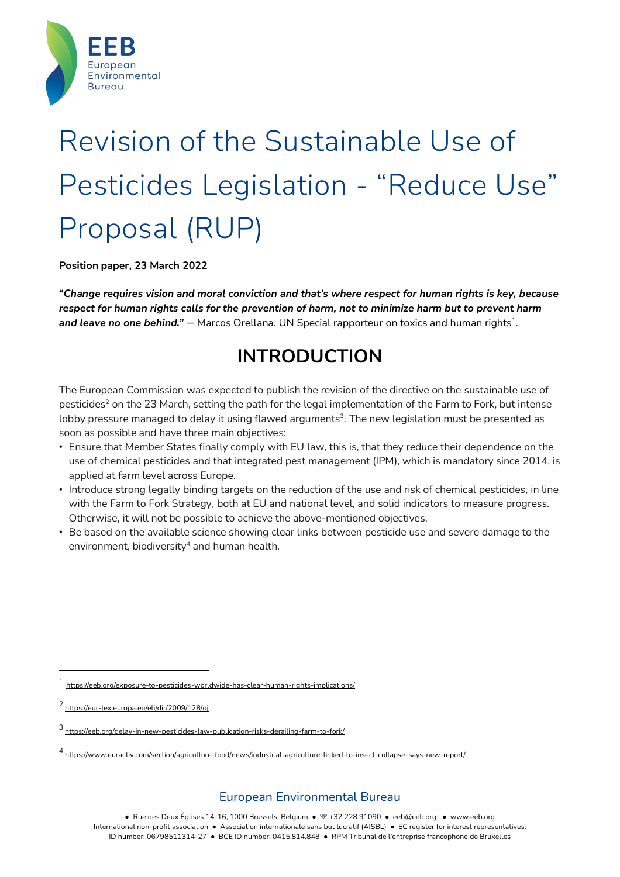

# Revision of the Sustainable Use of Pesticides Legislation - "Reduce Use" Proposal (RUP)

**Position paper, 23 March 2022**

**"***Change requires vision and moral conviction and that's where respect for human rights is key, because* respect for human rights calls for the prevention of harm, not to minimize harm but to prevent harm **and leave no one behind.**<sup>*"*</sup> – Marcos Orellana, UN Special rapporteur on toxics and human rights<sup>1</sup>.

# **INTRODUCTION**

The European Commission was expected to publish the revision of the directive on the sustainable use of pesticides<sup>2</sup> on the 23 March, setting the path for the legal implementation of the Farm to Fork, but intense lobby pressure managed to delay it using flawed arguments<sup>3</sup>. The new legislation must be presented as soon as possible and have three main objectives:

- Ensure that Member States finally comply with EU law, this is, that they reduce their dependence on the use of chemical pesticides and that integrated pest management (IPM), which is mandatory since 2014, is applied at farm level across Europe.
- Introduce strong legally binding targets on the reduction of the use and risk of chemical pesticides, in line with the Farm to Fork Strategy, both at EU and national level, and solid indicators to measure progress. Otherwise, it will not be possible to achieve the above-mentioned objectives.
- Be based on the available science showing clear links between pesticide use and severe damage to the environment, biodiversity<sup>4</sup> and human health.

<sup>1</sup> https://eeb.org/exposure-to-pesticides-worldwide-has-clear-human-rights-implications/

<sup>2</sup> https://eur-lex.europa.eu/eli/dir/2009/128/oj

 $^3$  https://eeb.orq/delay-in-new-pesticides-law-publication-risks-derailing-farm-to-fork/

<sup>4</sup> https://www.euractiv.com/section/agriculture-food/news/industrial-agriculture-linked-to-insect-collapse-says-new-report/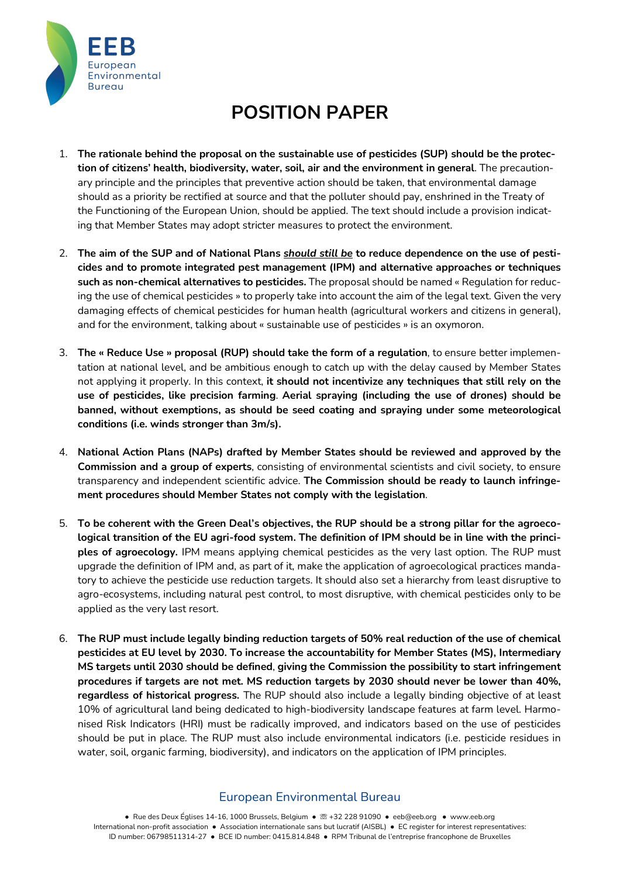

# **POSITION PAPER**

- 1. **The rationale behind the proposal on the sustainable use of pesticides (SUP) should be the protection of citizens' health, biodiversity, water, soil, air and the environment in general**. The precautionary principle and the principles that preventive action should be taken, that environmental damage should as a priority be rectified at source and that the polluter should pay, enshrined in the Treaty of the Functioning of the European Union, should be applied. The text should include a provision indicating that Member States may adopt stricter measures to protect the environment.
- 2. The aim of the SUP and of National Plans should still be to reduce dependence on the use of pesti**cides and to promote integrated pest management (IPM) and alternative approaches or techniques such as non-chemical alternatives to pesticides.** The proposal should be named « Regulation for reducing the use of chemical pesticides » to properly take into account the aim of the legal text. Given the very damaging effects of chemical pesticides for human health (agricultural workers and citizens in general), and for the environment, talking about « sustainable use of pesticides » is an oxymoron.
- 3. **The « Reduce Use » proposal (RUP) should take the form of a regulation**, to ensure better implementation at national level, and be ambitious enough to catch up with the delay caused by Member States not applying it properly. In this context, **it should not incentivize any techniques that still rely on the use of pesticides, like precision farming**. **Aerial spraying (including the use of drones) should be banned, without exemptions, as should be seed coating and spraying under some meteorological conditions (i.e. winds stronger than 3m/s).**
- 4. **National Action Plans (NAPs) drafted by Member States should be reviewed and approved by the Commission and a group of experts**, consisting of environmental scientists and civil society, to ensure transparency and independent scientific advice. **The Commission should be ready to launch infringement procedures should Member States not comply with the legislation**.
- 5. To be coherent with the Green Deal's objectives, the RUP should be a strong pillar for the agroecological transition of the EU agri-food system. The definition of IPM should be in line with the princi**ples of agroecology.** IPM means applying chemical pesticides as the very last option. The RUP must upgrade the definition of IPM and, as part of it, make the application of agroecological practices mandatory to achieve the pesticide use reduction targets. It should also set a hierarchy from least disruptive to agro-ecosystems, including natural pest control, to most disruptive, with chemical pesticides only to be applied as the very last resort.
- 6. **The RUP must include legally binding reduction targets of 50% real reduction of the use of chemical pesticides at EU level by 2030. To increase the accountability for Member States (MS), Intermediary MS targets until 2030 should be defined**, **giving the Commission the possibility to start infringement procedures if targets are not met. MS reduction targets by 2030 should never be lower than 40%, regardless of historical progress.** The RUP should also include a legally binding objective of at least 10% of agricultural land being dedicated to high-biodiversity landscape features at farm level. Harmonised Risk Indicators (HRI) must be radically improved, and indicators based on the use of pesticides should be put in place. The RUP must also include environmental indicators (i.e. pesticide residues in water, soil, organic farming, biodiversity), and indicators on the application of IPM principles.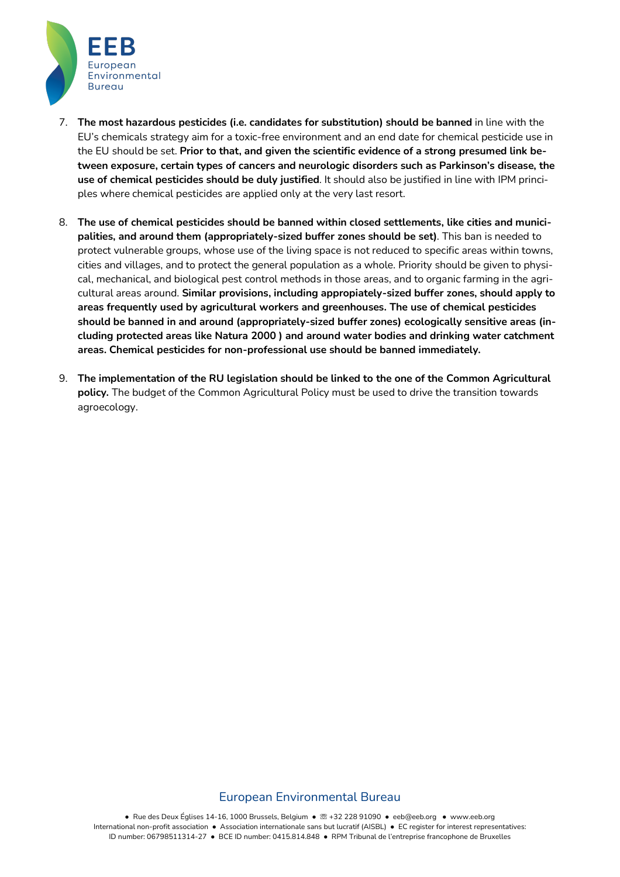

- 7. **The most hazardous pesticides (i.e. candidates for substitution) should be banned** in line with the EU's chemicals strategy aim for a toxic-free environment and an end date for chemical pesticide use in the EU should be set. **Prior to that, and given the scientific evidence of a strong presumed link between exposure, certain types of cancers and neurologic disorders such as Parkinson's disease, the use of chemical pesticides should be duly justified**. It should also be justified in line with IPM principles where chemical pesticides are applied only at the very last resort.
- 8. **The use of chemical pesticides should be banned within closed settlements, like cities and municipalities, and around them (appropriately-sized buffer zones should be set)**. This ban is needed to protect vulnerable groups, whose use of the living space is not reduced to specific areas within towns, cities and villages, and to protect the general population as a whole. Priority should be given to physical, mechanical, and biological pest control methods in those areas, and to organic farming in the agricultural areas around. **Similar provisions, including appropiately-sized buffer zones, should apply to areas frequently used by agricultural workers and greenhouses. The use of chemical pesticides should be banned in and around (appropriately-sized buffer zones) ecologically sensitive areas (including protected areas like Natura 2000 ) and around water bodies and drinking water catchment areas. Chemical pesticides for non-professional use should be banned immediately.**
- 9. **The implementation of the RU legislation should be linked to the one of the Common Agricultural policy.** The budget of the Common Agricultural Policy must be used to drive the transition towards agroecology.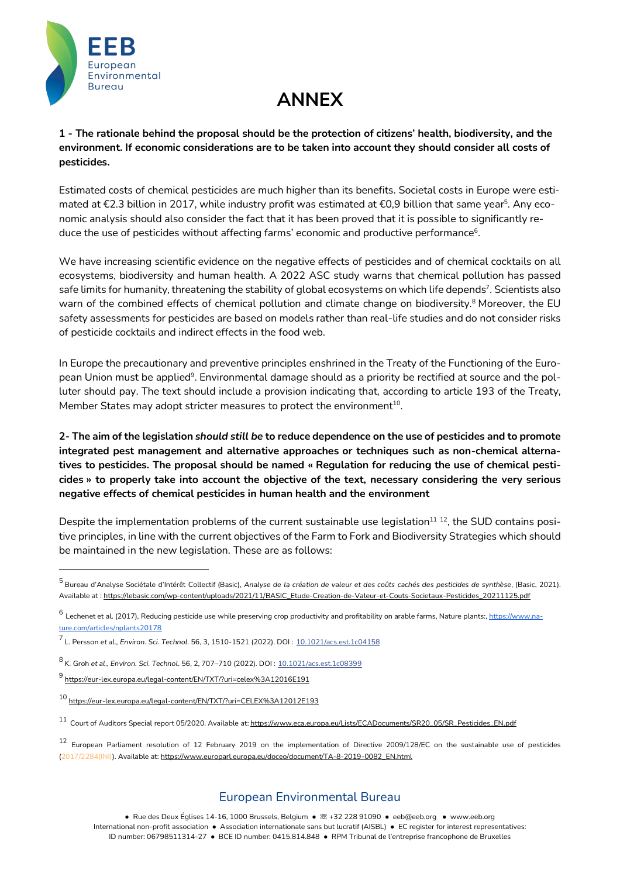

# **ANNEX**

**1 - The rationale behind the proposal should be the protection of citizens' health, biodiversity, and the environment. If economic considerations are to be taken into account they should consider all costs of pesticides.**

Estimated costs of chemical pesticides are much higher than its benefits. Societal costs in Europe were estimated at €2.3 billion in 2017, while industry profit was estimated at €0.9 billion that same year<sup>5</sup>. Any economic analysis should also consider the fact that it has been proved that it is possible to significantly reduce the use of pesticides without affecting farms' economic and productive performance<sup>6</sup>.

We have increasing scientific evidence on the negative effects of pesticides and of chemical cocktails on all ecosystems, biodiversity and human health. A 2022 ASC study warns that chemical pollution has passed safe limits for humanity, threatening the stability of global ecosystems on which life depends<sup>7</sup>. Scientists also warn of the combined effects of chemical pollution and climate change on biodiversity.<sup>8</sup> Moreover, the EU safety assessments for pesticides are based on models rather than real-life studies and do not consider risks of pesticide cocktails and indirect effects in the food web.

In Europe the precautionary and preventive principles enshrined in the Treaty of the Functioning of the European Union must be applied<sup>9</sup>. Environmental damage should as a priority be rectified at source and the polluter should pay. The text should include a provision indicating that, according to article 193 of the Treaty, Member States may adopt stricter measures to protect the environment<sup>10</sup>.

2- The aim of the legislation should still be to reduce dependence on the use of pesticides and to promote **integrated pest management and alternative approaches or techniques such as non-chemical alternatives to pesticides. The proposal should be named « Regulation for reducing the use of chemical pesticides » to properly take into account the objective of the text, necessary considering the very serious negative effects of chemical pesticides in human health and the environment**

Despite the implementation problems of the current sustainable use legislation $11$   $12$ , the SUD contains positive principles, in line with the current objectives of the Farm to Fork and Biodiversity Strategies which should be maintained in the new legislation. These are as follows:

<sup>&</sup>lt;sup>5</sup> Bureau d'Analyse Sociétale d'Intérêt Collectif (Basic), Analyse de la création de valeur et des coûts cachés des pesticides de synthèse, (Basic, 2021). Available at : https://lebasic.com/wp-content/uploads/2021/11/BASIC\_Etude-Creation-de-Valeur-et-Couts-Societaux-Pesticides\_20211125.pdf

 $^6$  Lechenet et al. (2017), Reducing pesticide use while preserving crop productivity and profitability on arable farms, Nature plants:, https://www.nature.com/articles/nplants20178

<sup>7</sup> L. Persson *et al., Environ. Sci. Technol.* 56, 3, 1510-1521 (2022). DOI : 10.1021/acs.est.1c04158

<sup>8</sup> K. Groh *et al*., *Environ. Sci. Technol*. 56, 2, 707–710 (2022). DOI : 10.1021/acs.est.1c08399

<sup>9</sup> https://eur-lex.europa.eu/legal-content/EN/TXT/?uri=celex%3A12016E191

<sup>10</sup> https://eur-lex.europa.eu/legal-content/EN/TXT/?uri=CELEX%3A12012E193

<sup>11</sup> Court of Auditors Special report 05/2020. Available at: https://www.eca.europa.eu/Lists/ECADocuments/SR20\_05/SR\_Pesticides\_EN.pdf

<sup>12</sup> European Parliament resolution of <sup>12</sup> February <sup>2019</sup> on the implementation of Directive 2009/128/EC on the sustainable use of pesticides (2017/2284(INI)). Available at: https://www.europarl.europa.eu/doceo/document/TA-8-2019-0082\_EN.html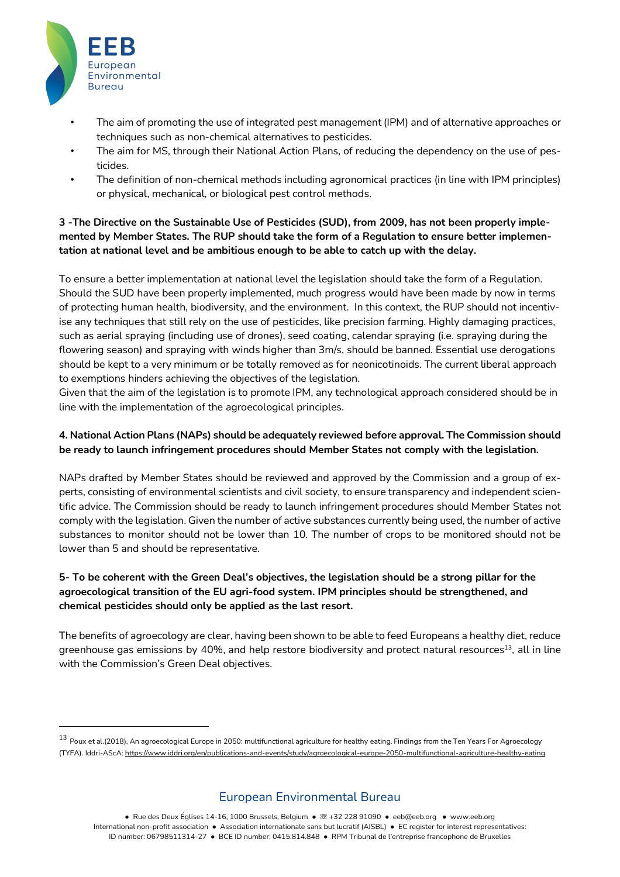

- The aim of promoting the use of integrated pest management (IPM) and of alternative approaches or techniques such as non-chemical alternatives to pesticides.
- The aim for MS, through their National Action Plans, of reducing the dependency on the use of pesticides.
- The definition of non-chemical methods including agronomical practices (in line with IPM principles) or physical, mechanical, or biological pest control methods.

#### **3 -The Directive on the Sustainable Use of Pesticides (SUD), from 2009, has not been properly implemented by Member States. The RUP should take the form of a Regulation to ensure better implementation at national level and be ambitious enough to be able to catch up with the delay.**

To ensure a better implementation at national level the legislation should take the form of a Regulation. Should the SUD have been properly implemented, much progress would have been made by now in terms of protecting human health, biodiversity, and the environment. In this context, the RUP should not incentivise any techniques that still rely on the use of pesticides, like precision farming. Highly damaging practices, such as aerial spraying (including use of drones), seed coating, calendar spraying (i.e. spraying during the flowering season) and spraying with winds higher than 3m/s, should be banned. Essential use derogations should be kept to a very minimum or be totally removed as for neonicotinoids. The current liberal approach to exemptions hinders achieving the objectives of the legislation.

Given that the aim of the legislation is to promote IPM, any technological approach considered should be in line with the implementation of the agroecological principles.

#### **4. National Action Plans (NAPs) should be adequately reviewed before approval. The Commission should be ready to launch infringement procedures should Member States not comply with the legislation.**

NAPs drafted by Member States should be reviewed and approved by the Commission and a group of experts, consisting of environmental scientists and civil society, to ensure transparency and independent scientific advice. The Commission should be ready to launch infringement procedures should Member States not comply with the legislation. Given the number of active substances currently being used, the number of active substances to monitor should not be lower than 10. The number of crops to be monitored should not be lower than 5 and should be representative.

#### 5- To be coherent with the Green Deal's objectives, the legislation should be a strong pillar for the **agroecological transition of the EU agri-food system. IPM principles should be strengthened, and chemical pesticides should only be applied as the last resort.**

The benefits of agroecology are clear, having been shown to be able to feed Europeans a healthy diet, reduce greenhouse gas emissions by 40%, and help restore biodiversity and protect natural resources<sup>13</sup>, all in line with the Commission's Green Deal objectives.

# European Environmental Bureau

**●** Rue des Deux Églises 14-16, 1000 Brussels, Belgium ● ☏ +32 228 91090 ● eeb@eeb.org ● www.eeb.org International non-profit association ● Association internationale sans but lucratif (AISBL) ● EC register for interest representatives: ID number: 06798511314-27 **●** BCE ID number: 0415.814.848 **●** RPM Tribunal de l'entreprise francophone de Bruxelles

<sup>13</sup> Poux et al.(2018), An agroecological Europe in 2050: multifunctional agriculture for healthy eating. Findings from the Ten Years For Agroecology (TYFA). Iddri-AScA: https://www.iddri.org/en/publications-and-events/study/agroecological-europe-2050-multifunctional-agriculture-healthy-eating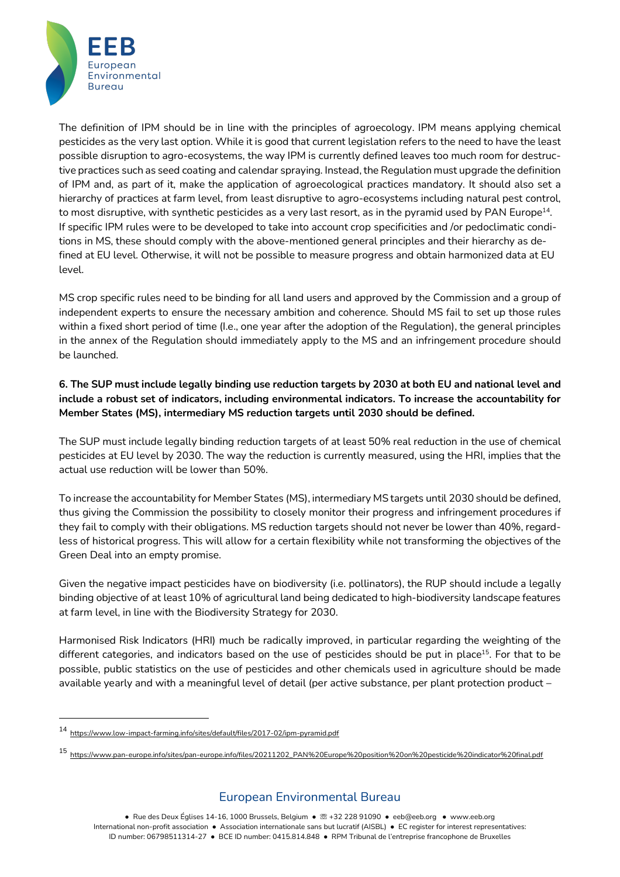

The definition of IPM should be in line with the principles of agroecology. IPM means applying chemical pesticides as the very last option. While it is good that current legislation refers to the need to have the least possible disruption to agro-ecosystems, the way IPM is currently defined leaves too much room for destructive practices such as seed coating and calendar spraying. Instead, the Regulation must upgrade the definition of IPM and, as part of it, make the application of agroecological practices mandatory. It should also set a hierarchy of practices at farm level, from least disruptive to agro-ecosystems including natural pest control, to most disruptive, with synthetic pesticides as a very last resort, as in the pyramid used by PAN Europe14. If specific IPM rules were to be developed to take into account crop specificities and /or pedoclimatic conditions in MS, these should comply with the above-mentioned general principles and their hierarchy as defined at EU level. Otherwise, it will not be possible to measure progress and obtain harmonized data at EU level.

MS crop specific rules need to be binding for all land users and approved by the Commission and a group of independent experts to ensure the necessary ambition and coherence. Should MS fail to set up those rules within a fixed short period of time (I.e., one year after the adoption of the Regulation), the general principles in the annex of the Regulation should immediately apply to the MS and an infringement procedure should be launched.

6. The SUP must include legally binding use reduction targets by 2030 at both EU and national level and **include a robust set of indicators, including environmental indicators. To increase the accountability for Member States (MS), intermediary MS reduction targets until 2030 should be defined.**

The SUP must include legally binding reduction targets of at least 50% real reduction in the use of chemical pesticides at EU level by 2030. The way the reduction is currently measured, using the HRI, implies that the actual use reduction will be lower than 50%.

To increase the accountability for Member States (MS), intermediary MS targets until 2030 should be defined, thus giving the Commission the possibility to closely monitor their progress and infringement procedures if they fail to comply with their obligations. MS reduction targets should not never be lower than 40%, regardless of historical progress. This will allow for a certain flexibility while not transforming the objectives of the Green Deal into an empty promise.

Given the negative impact pesticides have on biodiversity (i.e. pollinators), the RUP should include a legally binding objective of at least 10% of agricultural land being dedicated to high-biodiversity landscape features at farm level, in line with the Biodiversity Strategy for 2030.

Harmonised Risk Indicators (HRI) much be radically improved, in particular regarding the weighting of the different categories, and indicators based on the use of pesticides should be put in place<sup>15</sup>. For that to be possible, public statistics on the use of pesticides and other chemicals used in agriculture should be made available yearly and with a meaningful level of detail (per active substance, per plant protection product –

<sup>14</sup> https://www.low-impact-farming.info/sites/default/files/2017-02/ipm-pyramid.pdf

<sup>15</sup> https://www.pan-europe.info/sites/pan-europe.info/files/20211202\_PAN%20Europe%20position%20on%20pesticide%20indicator%20final.pdf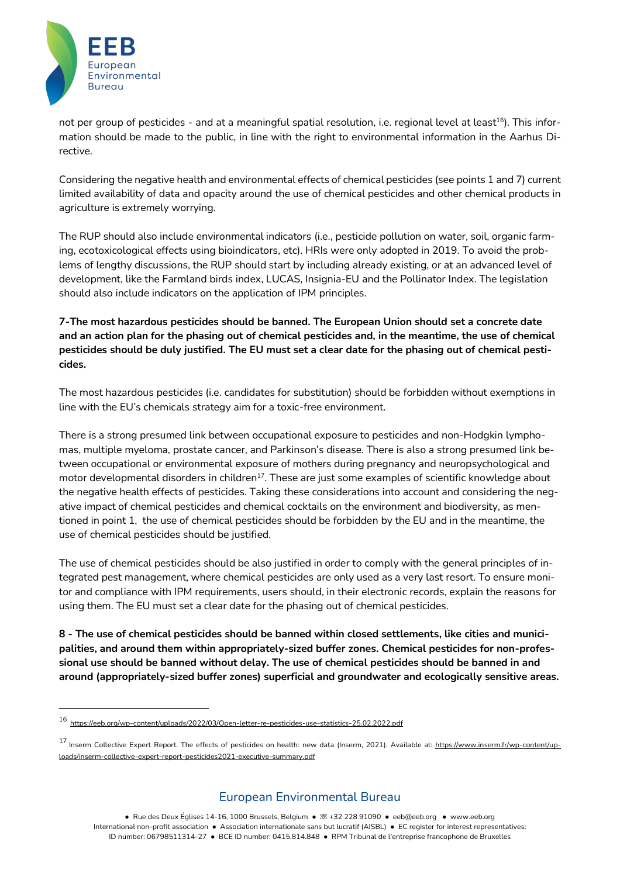

not per group of pesticides - and at a meaningful spatial resolution, i.e. regional level at least<sup>16</sup>). This information should be made to the public, in line with the right to environmental information in the Aarhus Directive.

Considering the negative health and environmental effects of chemical pesticides (see points 1 and 7) current limited availability of data and opacity around the use of chemical pesticides and other chemical products in agriculture is extremely worrying.

The RUP should also include environmental indicators (i.e., pesticide pollution on water, soil, organic farming, ecotoxicological effects using bioindicators, etc). HRIs were only adopted in 2019. To avoid the problems of lengthy discussions, the RUP should start by including already existing, or at an advanced level of development, like the Farmland birds index, LUCAS, Insignia-EU and the Pollinator Index. The legislation should also include indicators on the application of IPM principles.

**7-The most hazardous pesticides should be banned. The European Union should set a concrete date** and an action plan for the phasing out of chemical pesticides and, in the meantime, the use of chemical pesticides should be duly justified. The EU must set a clear date for the phasing out of chemical pesti**cides.**

The most hazardous pesticides (i.e. candidates for substitution) should be forbidden without exemptions in line with the EU's chemicals strategy aim for a toxic-free environment.

There is a strong presumed link between occupational exposure to pesticides and non-Hodgkin lymphomas, multiple myeloma, prostate cancer, and Parkinson's disease. There is also a strong presumed link between occupational or environmental exposure of mothers during pregnancy and neuropsychological and motor developmental disorders in children<sup>17</sup>. These are just some examples of scientific knowledge about the negative health effects of pesticides. Taking these considerations into account and considering the negative impact of chemical pesticides and chemical cocktails on the environment and biodiversity, as mentioned in point 1, the use of chemical pesticides should be forbidden by the EU and in the meantime, the use of chemical pesticides should be justified.

The use of chemical pesticides should be also justified in order to comply with the general principles of integrated pest management, where chemical pesticides are only used as a very last resort. To ensure monitor and compliance with IPM requirements, users should, in their electronic records, explain the reasons for using them. The EU must set a clear date for the phasing out of chemical pesticides.

**8 - The use of chemical pesticides should be banned within closed settlements, like cities and municipalities, and around them within appropriately-sized buffer zones. Chemical pesticides for non-professional use should be banned without delay. The use of chemical pesticides should be banned in and around (appropriately-sized buffer zones) superficial and groundwater and ecologically sensitive areas.**

# European Environmental Bureau

**●** Rue des Deux Églises 14-16, 1000 Brussels, Belgium ● ☏ +32 228 91090 ● eeb@eeb.org ● www.eeb.org International non-profit association ● Association internationale sans but lucratif (AISBL) ● EC register for interest representatives: ID number: 06798511314-27 **●** BCE ID number: 0415.814.848 **●** RPM Tribunal de l'entreprise francophone de Bruxelles

<sup>16</sup> https://eeb.org/wp-content/uploads/2022/03/Open-letter-re-pesticides-use-statistics-25.02.2022.pdf

<sup>&</sup>lt;sup>17</sup> Inserm Collective Expert Report. The effects of pesticides on health: new data (Inserm, 2021). Available at: https://www.inserm.fr/wp-content/uploads/inserm-collective-expert-report-pesticides2021-executive-summary.pdf